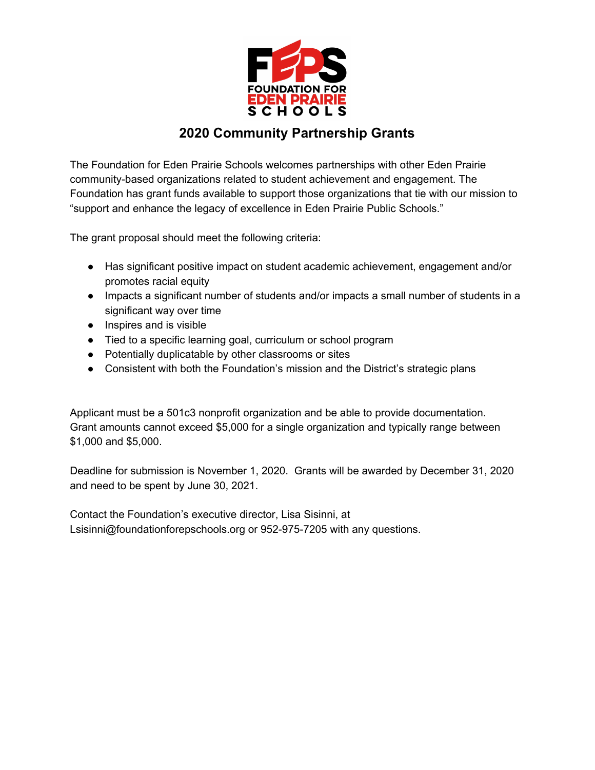

## **2020 Community Partnership Grants**

The Foundation for Eden Prairie Schools welcomes partnerships with other Eden Prairie community-based organizations related to student achievement and engagement. The Foundation has grant funds available to support those organizations that tie with our mission to "support and enhance the legacy of excellence in Eden Prairie Public Schools."

The grant proposal should meet the following criteria:

- Has significant positive impact on student academic achievement, engagement and/or promotes racial equity
- Impacts a significant number of students and/or impacts a small number of students in a significant way over time
- Inspires and is visible
- Tied to a specific learning goal, curriculum or school program
- Potentially duplicatable by other classrooms or sites
- Consistent with both the Foundation's mission and the District's strategic plans

Applicant must be a 501c3 nonprofit organization and be able to provide documentation. Grant amounts cannot exceed \$5,000 for a single organization and typically range between \$1,000 and \$5,000.

Deadline for submission is November 1, 2020. Grants will be awarded by December 31, 2020 and need to be spent by June 30, 2021.

Contact the Foundation's executive director, Lisa Sisinni, at Lsisinni@foundationforepschools.org or 952-975-7205 with any questions.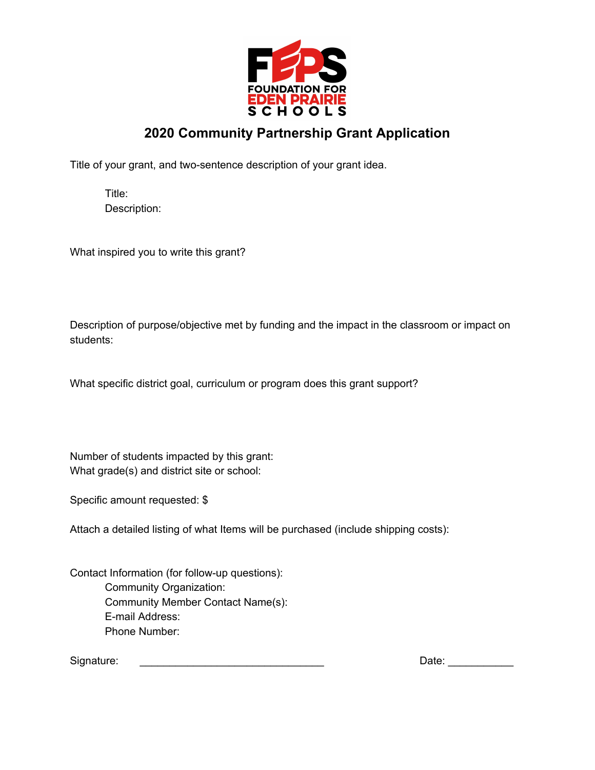

## **2020 Community Partnership Grant Application**

Title of your grant, and two-sentence description of your grant idea.

Title: Description:

What inspired you to write this grant?

Description of purpose/objective met by funding and the impact in the classroom or impact on students:

What specific district goal, curriculum or program does this grant support?

Number of students impacted by this grant: What grade(s) and district site or school:

Specific amount requested: \$

Attach a detailed listing of what Items will be purchased (include shipping costs):

Contact Information (for follow-up questions): Community Organization: Community Member Contact Name(s): E-mail Address: Phone Number:

Signature: \_\_\_\_\_\_\_\_\_\_\_\_\_\_\_\_\_\_\_\_\_\_\_\_\_\_\_\_\_\_\_ Date: \_\_\_\_\_\_\_\_\_\_\_